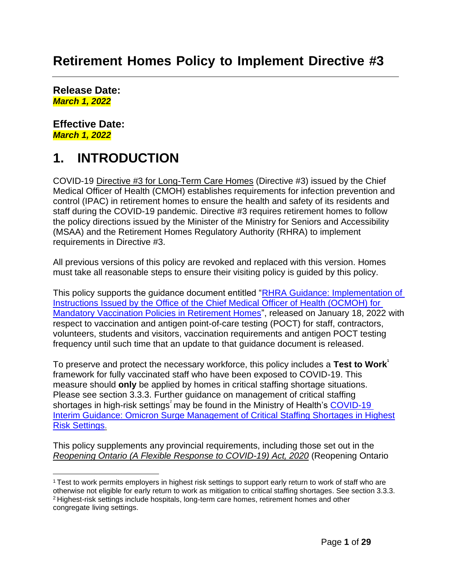## **Retirement Homes Policy to Implement Directive #3**

**Release Date:** *March 1, 2022*

**Effective Date:** *March 1, 2022*

## **1. INTRODUCTION**

COVID-19 [Directive #3 for Long-Term Care Homes](https://www.health.gov.on.ca/en/pro/programs/publichealth/coronavirus/docs/directives/LTCH_HPPA.pdf) (Directive #3) issued by the Chief Medical Officer of Health (CMOH) establishes requirements for infection prevention and control (IPAC) in retirement homes to ensure the health and safety of its residents and staff during the COVID-19 pandemic. Directive #3 requires retirement homes to follow the policy directions issued by the Minister of the Ministry for Seniors and Accessibility (MSAA) and the Retirement Homes Regulatory Authority (RHRA) to implement requirements in Directive #3.

All previous versions of this policy are revoked and replaced with this version. Homes must take all reasonable steps to ensure their visiting policy is guided by this policy.

This policy supports the guidance document entitled ["RHRA Guidance: Implementation of](https://www.rhra.ca/wp-content/uploads/2022/01/RHRA-Guidance-on-CMOH-Instructions-FINAL.pdf)  Instructions Issued by the Office of the Chief Medical Officer of Health (OCMOH) for [Mandatory Vaccination Policies in Retirement Homes"](https://www.rhra.ca/wp-content/uploads/2022/01/RHRA-Guidance-on-CMOH-Instructions-FINAL.pdf), released on January 18, 2022 with respect to vaccination and antigen point-of-care testing (POCT) for staff, contractors, volunteers, students and visitors, vaccination requirements and antigen POCT testing frequency until such time that an update to that guidance document is released.

To preserve and protect the necessary workforce, this policy includes a **Test to Work<sup>1</sup>** framework for fully vaccinated staff who have been exposed to COVID-19. This measure should **only** be applied by homes in critical staffing shortage situations. Please see section 3.3.3. Further guidance on management of critical staffing shortages in high-risk settings<sup>2</sup> may be found in the Ministry of Health's COVID-19 [Interim Guidance: Omicron Surge Management of Critical Staffing Shortages in Highest](https://www.health.gov.on.ca/en/pro/programs/publichealth/coronavirus/docs/early_return%20_to_work.pdf)  [Risk Settings](https://www.health.gov.on.ca/en/pro/programs/publichealth/coronavirus/docs/early_return%20_to_work.pdf).

This policy supplements any provincial requirements, including those set out in the *Reopening Ontario (A Flexible Response to [COVID-19\)](https://www.ontario.ca/laws/statute/20r17) Act, 2020* (Reopening Ontario

<sup>1</sup>Test to work permits employers in highest risk settings to support early return to work of staff who are otherwise not eligible for early return to work as mitigation to critical staffing shortages. See section 3.3.3. <sup>2</sup>Highest-risk settings include hospitals, long-term care homes, retirement homes and other congregate living settings.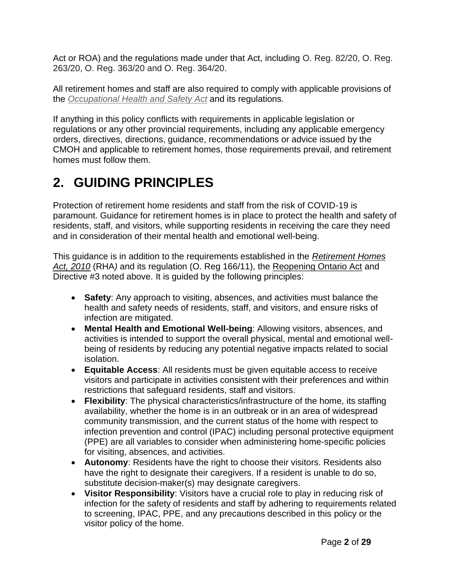Act or ROA) and the regulations made under that Act, including O. Reg. 82/20, O. Reg. 263/20, O. Reg. 363/20 and O. Reg. 364/20.

All retirement homes and staff are also required to comply with applicable provisions of the *[Occupational Health and](http://www.e-laws.gov.on.ca/html/statutes/english/elaws_statutes_90o01_e.htm) Safety Act* and its regulations.

If anything in this policy conflicts with requirements in applicable legislation or regulations or any other provincial requirements, including any applicable emergency orders, directives, directions, guidance, recommendations or advice issued by the CMOH and applicable to retirement homes, those requirements prevail, and retirement homes must follow them.

# **2. GUIDING PRINCIPLES**

Protection of retirement home residents and staff from the risk of COVID-19 is paramount. Guidance for retirement homes is in place to protect the health and safety of residents, staff, and visitors, while supporting residents in receiving the care they need and in consideration of their mental health and emotional well-being.

This guidance is in addition to the requirements established in the *[Retirement Homes](https://www.ontario.ca/laws/statute/10r11) [Act, 2010](https://www.ontario.ca/laws/statute/10r11)* (RHA*)* and its regulation (O. Reg 166/11), the [Reopening Ontario Act](https://www.ontario.ca/laws/statute/20r17) and Directive #3 noted above. It is guided by the following principles:

- **Safety**: Any approach to visiting, absences, and activities must balance the health and safety needs of residents, staff, and visitors, and ensure risks of infection are mitigated.
- **Mental Health and Emotional Well-being**: Allowing visitors, absences, and activities is intended to support the overall physical, mental and emotional wellbeing of residents by reducing any potential negative impacts related to social isolation.
- **Equitable Access**: All residents must be given equitable access to receive visitors and participate in activities consistent with their preferences and within restrictions that safeguard residents, staff and visitors.
- **Flexibility**: The physical characteristics/infrastructure of the home, its staffing availability, whether the home is in an outbreak or in an area of widespread community transmission, and the current status of the home with respect to infection prevention and control (IPAC) including personal protective equipment (PPE) are all variables to consider when administering home-specific policies for visiting, absences, and activities.
- **Autonomy**: Residents have the right to choose their visitors. Residents also have the right to designate their caregivers. If a resident is unable to do so, substitute decision-maker(s) may designate caregivers.
- **Visitor Responsibility**: Visitors have a crucial role to play in reducing risk of infection for the safety of residents and staff by adhering to requirements related to screening, IPAC, PPE, and any precautions described in this policy or the visitor policy of the home.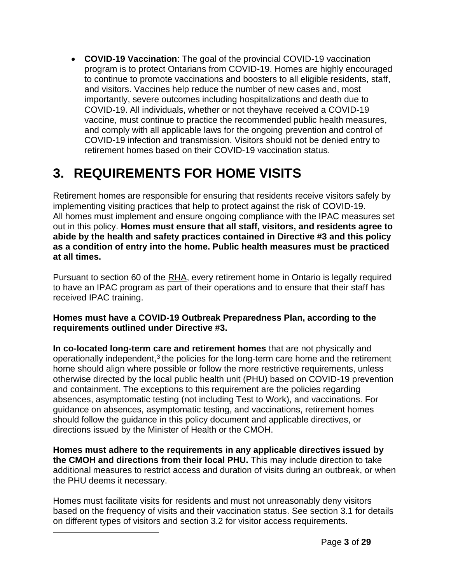• **COVID-19 Vaccination**: The goal of the provincial COVID-19 vaccination program is to protect Ontarians from COVID-19. Homes are highly encouraged to continue to promote vaccinations and boosters to all eligible residents, staff, and visitors. Vaccines help reduce the number of new cases and, most importantly, severe outcomes including hospitalizations and death due to COVID-19. All individuals, whether or not theyhave received a COVID-19 vaccine, must continue to practice the recommended public health measures, and comply with all applicable laws for the ongoing prevention and control of COVID-19 infection and transmission. Visitors should not be denied entry to retirement homes based on their COVID-19 vaccination status.

# **3. REQUIREMENTS FOR HOME VISITS**

Retirement homes are responsible for ensuring that residents receive visitors safely by implementing visiting practices that help to protect against the risk of COVID-19. All homes must implement and ensure ongoing compliance with the IPAC measures set out in this policy. **Homes must ensure that all staff, visitors, and residents agree to abide by the health and safety practices contained in Directive #3 and this policy as a condition of entry into the home. Public health measures must be practiced at all times.**

Pursuant to section 60 of the RHA, every retirement home in Ontario is legally required to have an IPAC program as part of their operations and to ensure that their staff has received IPAC training.

### **Homes must have a COVID-19 Outbreak Preparedness Plan, according to the requirements outlined under Directive #3.**

**In co-located long-term care and retirement homes** that are not physically and operationally independent, $3$  the policies for the long-term care home and the retirement home should align where possible or follow the more restrictive requirements, unless otherwise directed by the local public health unit (PHU) based on COVID-19 prevention and containment. The exceptions to this requirement are the policies regarding absences, asymptomatic testing (not including Test to Work), and vaccinations. For guidance on absences, asymptomatic testing, and vaccinations, retirement homes should follow the guidance in this policy document and applicable directives, or directions issued by the Minister of Health or the CMOH.

**Homes must adhere to the requirements in any applicable directives issued by the CMOH and directions from their local PHU.** This may include direction to take additional measures to restrict access and duration of visits during an outbreak, or when the PHU deems it necessary.

Homes must facilitate visits for residents and must not unreasonably deny visitors based on the frequency of visits and their vaccination status. See section 3.1 for details on different types of visitors and section 3.2 for visitor access requirements.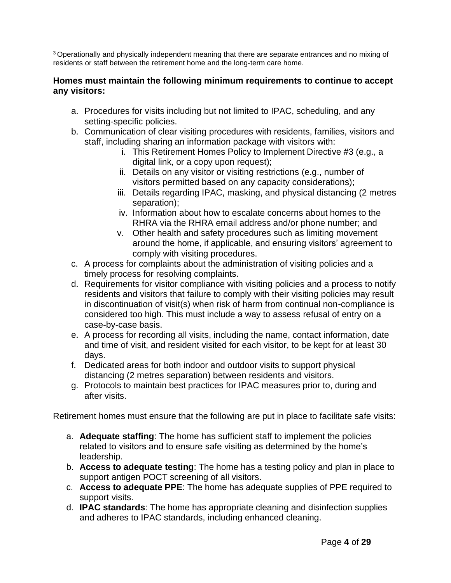<sup>3</sup>Operationally and physically independent meaning that there are separate entrances and no mixing of residents or staff between the retirement home and the long-term care home.

#### **Homes must maintain the following minimum requirements to continue to accept any visitors:**

- a. Procedures for visits including but not limited to IPAC, scheduling, and any setting-specific policies.
- b. Communication of clear visiting procedures with residents, families, visitors and staff, including sharing an information package with visitors with:
	- i. This Retirement Homes Policy to Implement Directive #3 (e.g., a digital link, or a copy upon request);
	- ii. Details on any visitor or visiting restrictions (e.g., number of visitors permitted based on any capacity considerations);
	- iii. Details regarding IPAC, masking, and physical distancing (2 metres separation);
	- iv. Information about how to escalate concerns about homes to the RHRA via the RHRA email address and/or phone number; and
	- v. Other health and safety procedures such as limiting movement around the home, if applicable, and ensuring visitors' agreement to comply with visiting procedures.
- c. A process for complaints about the administration of visiting policies and a timely process for resolving complaints.
- d. Requirements for visitor compliance with visiting policies and a process to notify residents and visitors that failure to comply with their visiting policies may result in discontinuation of visit(s) when risk of harm from continual non-compliance is considered too high. This must include a way to assess refusal of entry on a case-by-case basis.
- e. A process for recording all visits, including the name, contact information, date and time of visit, and resident visited for each visitor, to be kept for at least 30 days.
- f. Dedicated areas for both indoor and outdoor visits to support physical distancing (2 metres separation) between residents and visitors.
- g. Protocols to maintain best practices for IPAC measures prior to, during and after visits.

Retirement homes must ensure that the following are put in place to facilitate safe visits:

- a. **Adequate staffing**: The home has sufficient staff to implement the policies related to visitors and to ensure safe visiting as determined by the home's leadership.
- b. **Access to adequate testing**: The home has a testing policy and plan in place to support antigen POCT screening of all visitors.
- c. **Access to adequate PPE**: The home has adequate supplies of PPE required to support visits.
- d. **IPAC standards**: The home has appropriate cleaning and disinfection supplies and adheres to IPAC standards, including enhanced cleaning.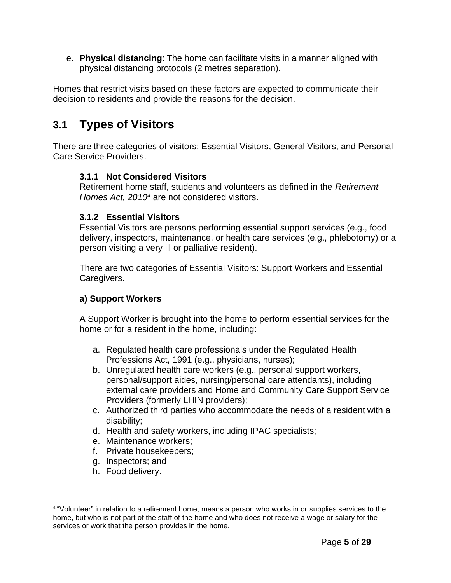e. **Physical distancing**: The home can facilitate visits in a manner aligned with physical distancing protocols (2 metres separation).

Homes that restrict visits based on these factors are expected to communicate their decision to residents and provide the reasons for the decision.

## **3.1 Types of Visitors**

There are three categories of visitors: Essential Visitors, General Visitors, and Personal Care Service Providers.

### **3.1.1 Not Considered Visitors**

Retirement home staff, students and volunteers as defined in the *Retirement Homes Act, 2010<sup>4</sup>* are not considered visitors.

### **3.1.2 Essential Visitors**

Essential Visitors are persons performing essential support services (e.g., food delivery, inspectors, maintenance, or health care services (e.g., phlebotomy) or a person visiting a very ill or palliative resident).

There are two categories of Essential Visitors: Support Workers and Essential Caregivers.

### **a) Support Workers**

A Support Worker is brought into the home to perform essential services for the home or for a resident in the home, including:

- a. Regulated health care professionals under the Regulated Health Professions Act, 1991 (e.g., physicians, nurses);
- b. Unregulated health care workers (e.g., personal support workers, personal/support aides, nursing/personal care attendants), including external care providers and Home and Community Care Support Service Providers (formerly LHIN providers);
- c. Authorized third parties who accommodate the needs of a resident with a disability;
- d. Health and safety workers, including IPAC specialists;
- e. Maintenance workers;
- f. Private housekeepers;
- g. Inspectors; and
- h. Food delivery.

<sup>4</sup>"Volunteer" in relation to a retirement home, means a person who works in or supplies services to the home, but who is not part of the staff of the home and who does not receive a wage or salary for the services or work that the person provides in the home.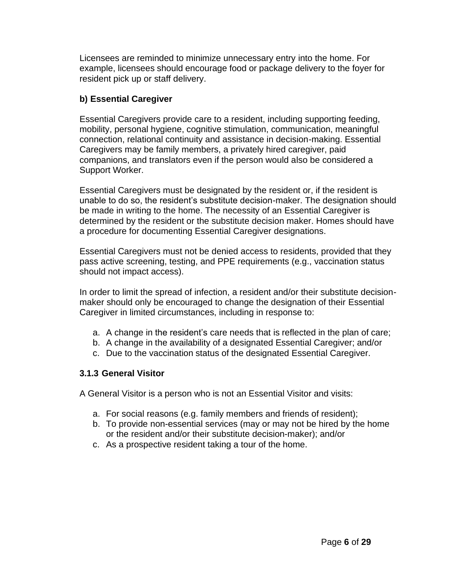Licensees are reminded to minimize unnecessary entry into the home. For example, licensees should encourage food or package delivery to the foyer for resident pick up or staff delivery.

### **b) Essential Caregiver**

Essential Caregivers provide care to a resident, including supporting feeding, mobility, personal hygiene, cognitive stimulation, communication, meaningful connection, relational continuity and assistance in decision-making. Essential Caregivers may be family members, a privately hired caregiver, paid companions, and translators even if the person would also be considered a Support Worker.

Essential Caregivers must be designated by the resident or, if the resident is unable to do so, the resident's substitute decision-maker. The designation should be made in writing to the home. The necessity of an Essential Caregiver is determined by the resident or the substitute decision maker. Homes should have a procedure for documenting Essential Caregiver designations.

Essential Caregivers must not be denied access to residents, provided that they pass active screening, testing, and PPE requirements (e.g., vaccination status should not impact access).

In order to limit the spread of infection, a resident and/or their substitute decisionmaker should only be encouraged to change the designation of their Essential Caregiver in limited circumstances, including in response to:

- a. A change in the resident's care needs that is reflected in the plan of care;
- b. A change in the availability of a designated Essential Caregiver; and/or
- c. Due to the vaccination status of the designated Essential Caregiver.

### **3.1.3 General Visitor**

A General Visitor is a person who is not an Essential Visitor and visits:

- a. For social reasons (e.g. family members and friends of resident);
- b. To provide non-essential services (may or may not be hired by the home or the resident and/or their substitute decision-maker); and/or
- c. As a prospective resident taking a tour of the home.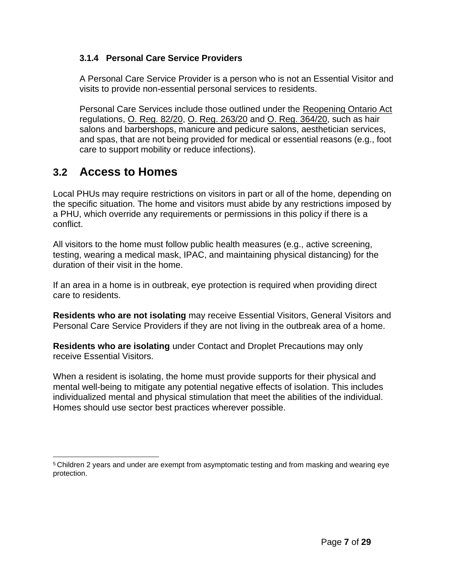### **3.1.4 Personal Care Service Providers**

A Personal Care Service Provider is a person who is not an Essential Visitor and visits to provide non-essential personal services to residents.

Personal Care Services include those outlined under the [Reopening Ontario Act](https://www.ontario.ca/laws/statute/20r17) regulations, [O. Reg. 82/20,](https://www.ontario.ca/laws/regulation/200082) [O. Reg. 263/20](https://www.ontario.ca/laws/regulation/200263) and [O. Reg. 364/20,](https://www.ontario.ca/laws/regulation/200364) such as hair salons and barbershops, manicure and pedicure salons, aesthetician services, and spas, that are not being provided for medical or essential reasons (e.g., foot care to support mobility or reduce infections).

### **3.2 Access to Homes**

Local PHUs may require restrictions on visitors in part or all of the home, depending on the specific situation. The home and visitors must abide by any restrictions imposed by a PHU, which override any requirements or permissions in this policy if there is a conflict.

All visitors to the home must follow public health measures (e.g., active screening, testing, wearing a medical mask, IPAC, and maintaining physical distancing) for the duration of their visit in the home.

If an area in a home is in outbreak, eye protection is required when providing direct care to residents.

**Residents who are not isolating** may receive Essential Visitors, General Visitors and Personal Care Service Providers if they are not living in the outbreak area of a home.

**Residents who are isolating** under Contact and Droplet Precautions may only receive Essential Visitors.

When a resident is isolating, the home must provide supports for their physical and mental well-being to mitigate any potential negative effects of isolation. This includes individualized mental and physical stimulation that meet the abilities of the individual. Homes should use sector best practices wherever possible.

<sup>5</sup>Children 2 years and under are exempt from asymptomatic testing and from masking and wearing eye protection.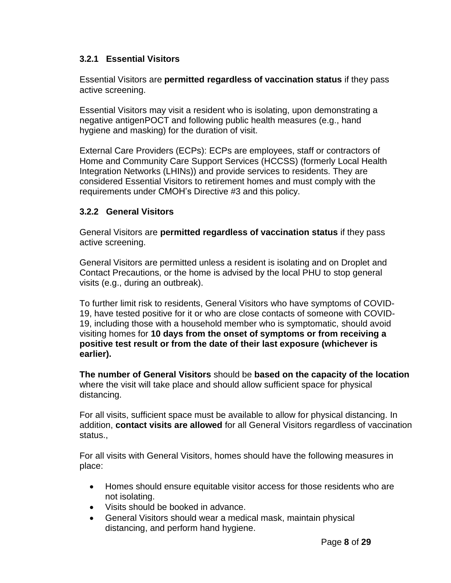### **3.2.1 Essential Visitors**

Essential Visitors are **permitted regardless of vaccination status** if they pass active screening.

Essential Visitors may visit a resident who is isolating, upon demonstrating a negative antigenPOCT and following public health measures (e.g., hand hygiene and masking) for the duration of visit.

External Care Providers (ECPs): ECPs are employees, staff or contractors of Home and Community Care Support Services (HCCSS) (formerly Local Health Integration Networks (LHINs)) and provide services to residents. They are considered Essential Visitors to retirement homes and must comply with the requirements under CMOH's Directive #3 and this policy.

### **3.2.2 General Visitors**

General Visitors are **permitted regardless of vaccination status** if they pass active screening.

General Visitors are permitted unless a resident is isolating and on Droplet and Contact Precautions, or the home is advised by the local PHU to stop general visits (e.g., during an outbreak).

To further limit risk to residents, General Visitors who have symptoms of COVID-19, have tested positive for it or who are close contacts of someone with COVID-19, including those with a household member who is symptomatic, should avoid visiting homes for **10 days from the onset of symptoms or from receiving a positive test result or from the date of their last exposure (whichever is earlier).**

**The number of General Visitors** should be **based on the capacity of the location** where the visit will take place and should allow sufficient space for physical distancing.

For all visits, sufficient space must be available to allow for physical distancing. In addition, **contact visits are allowed** for all General Visitors regardless of vaccination status.,

For all visits with General Visitors, homes should have the following measures in place:

- Homes should ensure equitable visitor access for those residents who are not isolating.
- Visits should be booked in advance.
- General Visitors should wear a medical mask, maintain physical distancing, and perform hand hygiene.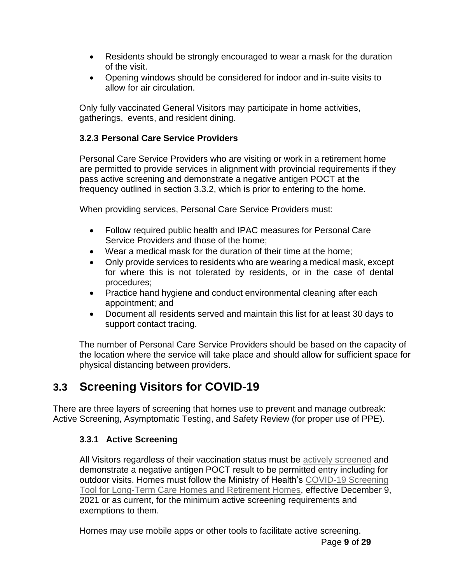- Residents should be strongly encouraged to wear a mask for the duration of the visit.
- Opening windows should be considered for indoor and in-suite visits to allow for air circulation.

Only fully vaccinated General Visitors may participate in home activities, gatherings, events, and resident dining.

### **3.2.3 Personal Care Service Providers**

Personal Care Service Providers who are visiting or work in a retirement home are permitted to provide services in alignment with provincial requirements if they pass active screening and demonstrate a negative antigen POCT at the frequency outlined in section 3.3.2, which is prior to entering to the home.

When providing services, Personal Care Service Providers must:

- Follow required public health and IPAC measures for Personal Care Service Providers and those of the home;
- Wear a medical mask for the duration of their time at the home;
- Only provide services to residents who are wearing a medical mask, except for where this is not tolerated by residents, or in the case of dental procedures;
- Practice hand hygiene and conduct environmental cleaning after each appointment; and
- Document all residents served and maintain this list for at least 30 days to support contact tracing.

The number of Personal Care Service Providers should be based on the capacity of the location where the service will take place and should allow for sufficient space for physical distancing between providers.

## **3.3 Screening Visitors for COVID-19**

There are three layers of screening that homes use to prevent and manage outbreak: Active Screening, Asymptomatic Testing, and Safety Review (for proper use of PPE).

### **3.3.1 Active Screening**

All Visitors regardless of their vaccination status must be [actively screened](https://www.health.gov.on.ca/en/pro/programs/publichealth/coronavirus/docs/2019_screening_guidance.pdf) and demonstrate a negative antigen POCT result to be permitted entry including for outdoor visits. Homes must follow the Ministry of Health's [COVID-19 Screening](http://www.health.gov.on.ca/en/pro/programs/publichealth/coronavirus/docs/2019_screening_guidance.pdf) [Tool for Long-Term Care Homes and Retirement Homes,](http://www.health.gov.on.ca/en/pro/programs/publichealth/coronavirus/docs/2019_screening_guidance.pdf) effective December 9, 2021 or as current, for the minimum active screening requirements and exemptions to them.

Homes may use mobile apps or other tools to facilitate active screening.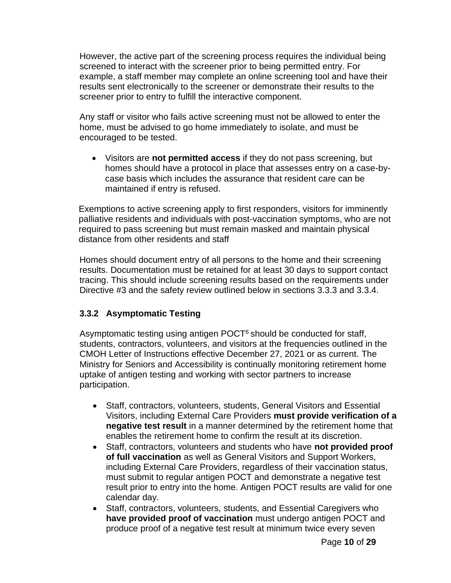However, the active part of the screening process requires the individual being screened to interact with the screener prior to being permitted entry. For example, a staff member may complete an online screening tool and have their results sent electronically to the screener or demonstrate their results to the screener prior to entry to fulfill the interactive component.

Any staff or visitor who fails active screening must not be allowed to enter the home, must be advised to go home immediately to isolate, and must be encouraged to be tested.

• Visitors are **not permitted access** if they do not pass screening, but homes should have a protocol in place that assesses entry on a case-bycase basis which includes the assurance that resident care can be maintained if entry is refused.

Exemptions to active screening apply to first responders, visitors for imminently palliative residents and individuals with post-vaccination symptoms, who are not required to pass screening but must remain masked and maintain physical distance from other residents and staff

Homes should document entry of all persons to the home and their screening results. Documentation must be retained for at least 30 days to support contact tracing. This should include screening results based on the requirements under Directive #3 and the safety review outlined below in sections 3.3.3 and 3.3.4.

### **3.3.2 Asymptomatic Testing**

Asymptomatic testing using antigen  $POCT<sup>6</sup>$  should be conducted for staff, students, contractors, volunteers, and visitors at the frequencies outlined in the CMOH Letter of Instructions effective December 27, 2021 or as current. The Ministry for Seniors and Accessibility is continually monitoring retirement home uptake of antigen testing and working with sector partners to increase participation.

- Staff, contractors, volunteers, students, General Visitors and Essential Visitors, including External Care Providers **must provide verification of a negative test result** in a manner determined by the retirement home that enables the retirement home to confirm the result at its discretion.
- Staff, contractors, volunteers and students who have **not provided proof of full vaccination** as well as General Visitors and Support Workers, including External Care Providers, regardless of their vaccination status, must submit to regular antigen POCT and demonstrate a negative test result prior to entry into the home. Antigen POCT results are valid for one calendar day.
- Staff, contractors, volunteers, students, and Essential Caregivers who **have provided proof of vaccination** must undergo antigen POCT and produce proof of a negative test result at minimum twice every seven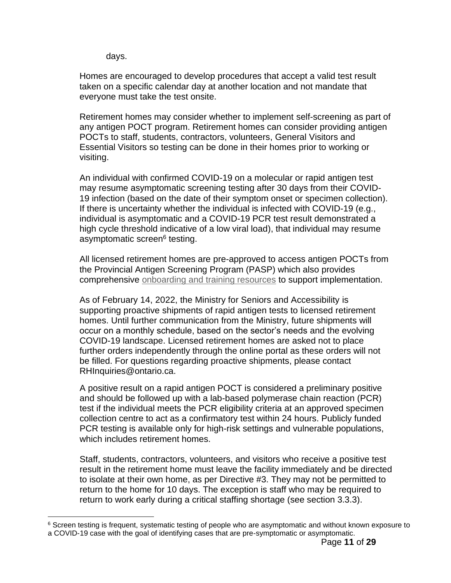days.

Homes are encouraged to develop procedures that accept a valid test result taken on a specific calendar day at another location and not mandate that everyone must take the test onsite.

Retirement homes may consider whether to implement self-screening as part of any antigen POCT program. Retirement homes can consider providing antigen POCTs to staff, students, contractors, volunteers, General Visitors and Essential Visitors so testing can be done in their homes prior to working or visiting.

An individual with confirmed COVID-19 on a molecular or rapid antigen test may resume asymptomatic screening testing after 30 days from their COVID-19 infection (based on the date of their symptom onset or specimen collection). If there is uncertainty whether the individual is infected with COVID-19 (e.g., individual is asymptomatic and a COVID-19 PCR test result demonstrated a high cycle threshold indicative of a low viral load), that individual may resume asymptomatic screen<sup>6</sup> testing.

All licensed retirement homes are pre-approved to access antigen POCTs from the Provincial Antigen Screening Program (PASP) which also provides comprehensive [onboarding and training resources](https://www.ontariohealth.ca/COVID-19/Health-System-Response-Resources#panbio) to support implementation.

As of February 14, 2022, the Ministry for Seniors and Accessibility is supporting proactive shipments of rapid antigen tests to licensed retirement homes. Until further communication from the Ministry, future shipments will occur on a monthly schedule, based on the sector's needs and the evolving COVID-19 landscape. Licensed retirement homes are asked not to place further orders independently through the online portal as these orders will not be filled. For questions regarding proactive shipments, please contact RHInquiries@ontario.ca.

A positive result on a rapid antigen POCT is considered a preliminary positive and should be followed up with a lab-based polymerase chain reaction (PCR) test if the individual meets the PCR eligibility criteria at an approved specimen collection centre to act as a confirmatory test within 24 hours. Publicly funded PCR testing is available only for high-risk settings and vulnerable populations, which includes retirement homes.

Staff, students, contractors, volunteers, and visitors who receive a positive test result in the retirement home must leave the facility immediately and be directed to isolate at their own home, as per Directive #3. They may not be permitted to return to the home for 10 days. The exception is staff who may be required to return to work early during a critical staffing shortage (see section 3.3.3).

<sup>&</sup>lt;sup>6</sup> Screen testing is frequent, systematic testing of people who are asymptomatic and without known exposure to a COVID-19 case with the goal of identifying cases that are pre-symptomatic or asymptomatic.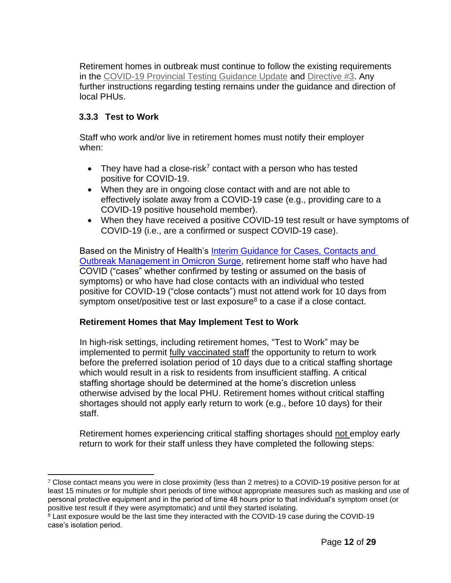Retirement homes in outbreak must continue to follow the existing requirements in the [COVID-19 Provincial Testing Guidance Update](http://www.health.gov.on.ca/en/pro/programs/publichealth/coronavirus/docs/2019_testing_guidance.pdf) and [Directive #3.](http://www.health.gov.on.ca/en/pro/programs/publichealth/coronavirus/docs/directives/LTCH_HPPA.pdf) Any further instructions regarding testing remains under the guidance and direction of local PHUs.

### **3.3.3 Test to Work**

Staff who work and/or live in retirement homes must notify their employer when:

- They have had a close-risk<sup>7</sup> contact with a person who has tested positive for COVID-19.
- When they are in ongoing close contact with and are not able to effectively isolate away from a COVID-19 case (e.g., providing care to a COVID-19 positive household member).
- When they have received a positive COVID-19 test result or have symptoms of COVID-19 (i.e., are a confirmed or suspect COVID-19 case).

Based on the Ministry of Health's Interim Guidance for Cases, Contacts and [Outbreak Management in Omicron Surge,](https://www.health.gov.on.ca/en/pro/programs/publichealth/coronavirus/docs/contact_mngmt/management_cases_contacts_omicron.pdf) retirement home staff who have had COVID ("cases" whether confirmed by testing or assumed on the basis of symptoms) or who have had close contacts with an individual who tested positive for COVID-19 ("close contacts") must not attend work for 10 days from symptom onset/positive test or last exposure<sup>8</sup> to a case if a close contact.

### **Retirement Homes that May Implement Test to Work**

In high-risk settings, including retirement homes, "Test to Work" may be implemented to permit fully vaccinated staff the opportunity to return to work before the preferred isolation period of 10 days due to a critical staffing shortage which would result in a risk to residents from insufficient staffing. A critical staffing shortage should be determined at the home's discretion unless otherwise advised by the local PHU. Retirement homes without critical staffing shortages should not apply early return to work (e.g., before 10 days) for their staff.

Retirement homes experiencing critical staffing shortages should not employ early return to work for their staff unless they have completed the following steps:

<sup>&</sup>lt;sup>7</sup> Close contact means you were in close proximity (less than 2 metres) to a COVID-19 positive person for at least 15 minutes or for multiple short periods of time without appropriate measures such as masking and use of personal protective equipment and in the period of time 48 hours prior to that individual's symptom onset (or positive test result if they were asymptomatic) and until they started isolating.

 $8$  Last exposure would be the last time they interacted with the COVID-19 case during the COVID-19 case's isolation period.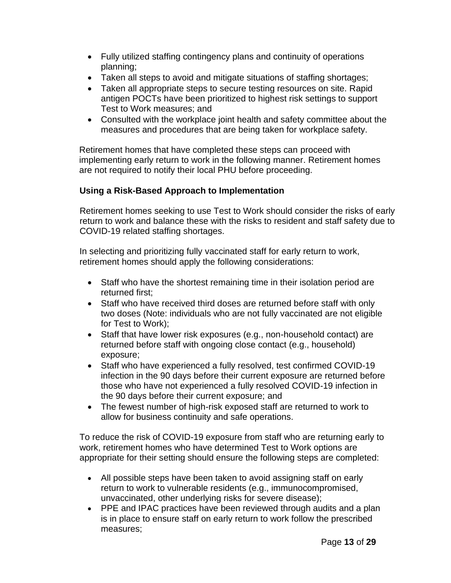- Fully utilized staffing contingency plans and continuity of operations planning;
- Taken all steps to avoid and mitigate situations of staffing shortages;
- Taken all appropriate steps to secure testing resources on site. Rapid antigen POCTs have been prioritized to highest risk settings to support Test to Work measures; and
- Consulted with the workplace joint health and safety committee about the measures and procedures that are being taken for workplace safety.

Retirement homes that have completed these steps can proceed with implementing early return to work in the following manner. Retirement homes are not required to notify their local PHU before proceeding.

### **Using a Risk-Based Approach to Implementation**

Retirement homes seeking to use Test to Work should consider the risks of early return to work and balance these with the risks to resident and staff safety due to COVID-19 related staffing shortages.

In selecting and prioritizing fully vaccinated staff for early return to work, retirement homes should apply the following considerations:

- Staff who have the shortest remaining time in their isolation period are returned first;
- Staff who have received third doses are returned before staff with only two doses (Note: individuals who are not fully vaccinated are not eligible for Test to Work);
- Staff that have lower risk exposures (e.g., non-household contact) are returned before staff with ongoing close contact (e.g., household) exposure;
- Staff who have experienced a fully resolved, test confirmed COVID-19 infection in the 90 days before their current exposure are returned before those who have not experienced a fully resolved COVID-19 infection in the 90 days before their current exposure; and
- The fewest number of high-risk exposed staff are returned to work to allow for business continuity and safe operations.

To reduce the risk of COVID-19 exposure from staff who are returning early to work, retirement homes who have determined Test to Work options are appropriate for their setting should ensure the following steps are completed:

- All possible steps have been taken to avoid assigning staff on early return to work to vulnerable residents (e.g., immunocompromised, unvaccinated, other underlying risks for severe disease);
- PPE and IPAC practices have been reviewed through audits and a plan is in place to ensure staff on early return to work follow the prescribed measures;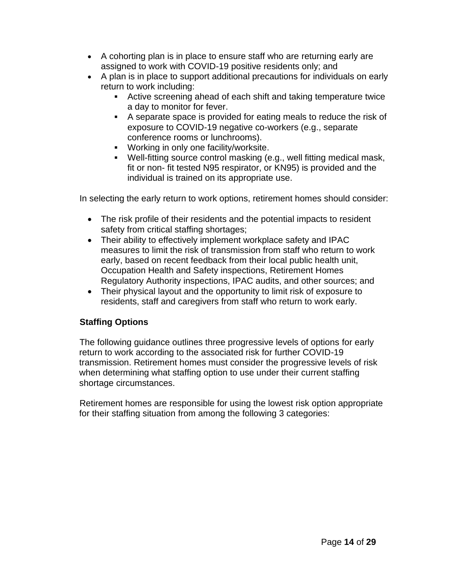- A cohorting plan is in place to ensure staff who are returning early are assigned to work with COVID-19 positive residents only; and
- A plan is in place to support additional precautions for individuals on early return to work including:
	- **EXEL Active screening ahead of each shift and taking temperature twice** a day to monitor for fever.
	- A separate space is provided for eating meals to reduce the risk of exposure to COVID-19 negative co-workers (e.g., separate conference rooms or lunchrooms).
	- Working in only one facility/worksite.
	- Well-fitting source control masking (e.g., well fitting medical mask, fit or non- fit tested N95 respirator, or KN95) is provided and the individual is trained on its appropriate use.

In selecting the early return to work options, retirement homes should consider:

- The risk profile of their residents and the potential impacts to resident safety from critical staffing shortages;
- Their ability to effectively implement workplace safety and IPAC measures to limit the risk of transmission from staff who return to work early, based on recent feedback from their local public health unit, Occupation Health and Safety inspections, Retirement Homes Regulatory Authority inspections, IPAC audits, and other sources; and
- Their physical layout and the opportunity to limit risk of exposure to residents, staff and caregivers from staff who return to work early.

### **Staffing Options**

The following guidance outlines three progressive levels of options for early return to work according to the associated risk for further COVID-19 transmission. Retirement homes must consider the progressive levels of risk when determining what staffing option to use under their current staffing shortage circumstances.

Retirement homes are responsible for using the lowest risk option appropriate for their staffing situation from among the following 3 categories: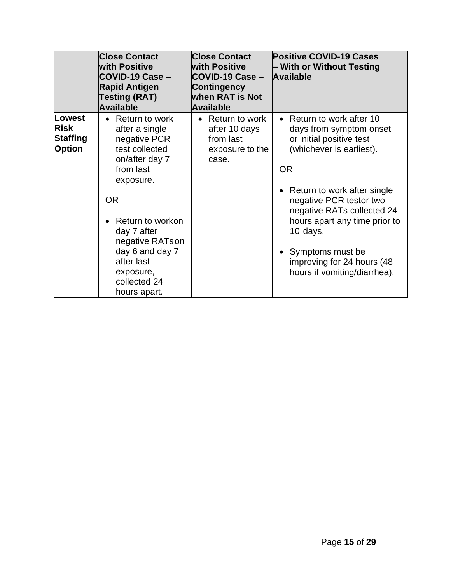|                                                           | <b>Close Contact</b><br><b>with Positive</b><br>COVID-19 Case -<br><b>Rapid Antigen</b><br><b>Testing (RAT)</b><br><b>Available</b>                                                                                                                                          | <b>Close Contact</b><br><b>with Positive</b><br>COVID-19 Case -<br><b>Contingency</b><br><b>when RAT is Not</b><br><b>Available</b> | <b>Positive COVID-19 Cases</b><br>– With or Without Testing<br><b>Available</b>                                                                                                                                                                                                                                                                    |
|-----------------------------------------------------------|------------------------------------------------------------------------------------------------------------------------------------------------------------------------------------------------------------------------------------------------------------------------------|-------------------------------------------------------------------------------------------------------------------------------------|----------------------------------------------------------------------------------------------------------------------------------------------------------------------------------------------------------------------------------------------------------------------------------------------------------------------------------------------------|
| Lowest<br><b>Risk</b><br><b>Staffing</b><br><b>Option</b> | Return to work<br>$\bullet$<br>after a single<br>negative PCR<br>test collected<br>on/after day 7<br>from last<br>exposure.<br><b>OR</b><br>Return to workon<br>day 7 after<br>negative RATson<br>day 6 and day 7<br>after last<br>exposure,<br>collected 24<br>hours apart. | Return to work<br>after 10 days<br>from last<br>exposure to the<br>case.                                                            | • Return to work after 10<br>days from symptom onset<br>or initial positive test<br>(whichever is earliest).<br><b>OR</b><br>• Return to work after single<br>negative PCR testor two<br>negative RATs collected 24<br>hours apart any time prior to<br>10 days.<br>Symptoms must be<br>improving for 24 hours (48<br>hours if vomiting/diarrhea). |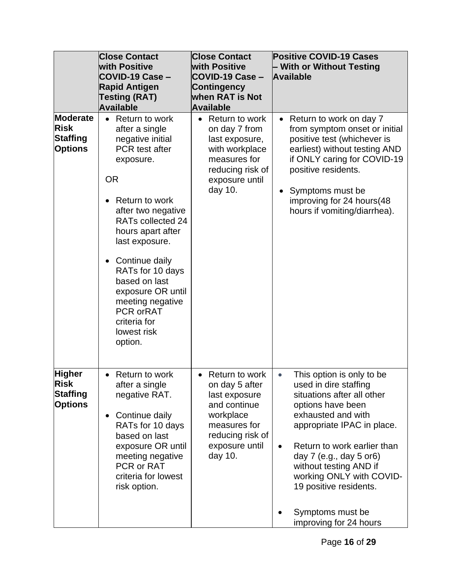|                                                                   | <b>Close Contact</b>                                                                                                                                                                                                                                                                                                                                                                     | <b>Close Contact</b>                                                                                                                                         | <b>Positive COVID-19 Cases</b>                                                                                                                                                                                                                                                                                                                                                   |
|-------------------------------------------------------------------|------------------------------------------------------------------------------------------------------------------------------------------------------------------------------------------------------------------------------------------------------------------------------------------------------------------------------------------------------------------------------------------|--------------------------------------------------------------------------------------------------------------------------------------------------------------|----------------------------------------------------------------------------------------------------------------------------------------------------------------------------------------------------------------------------------------------------------------------------------------------------------------------------------------------------------------------------------|
|                                                                   | <b>with Positive</b>                                                                                                                                                                                                                                                                                                                                                                     | <b>with Positive</b>                                                                                                                                         | - With or Without Testing                                                                                                                                                                                                                                                                                                                                                        |
|                                                                   | COVID-19 Case -                                                                                                                                                                                                                                                                                                                                                                          | COVID-19 Case -                                                                                                                                              | <b>Available</b>                                                                                                                                                                                                                                                                                                                                                                 |
|                                                                   | <b>Rapid Antigen</b>                                                                                                                                                                                                                                                                                                                                                                     | <b>Contingency</b>                                                                                                                                           |                                                                                                                                                                                                                                                                                                                                                                                  |
|                                                                   | <b>Testing (RAT)</b>                                                                                                                                                                                                                                                                                                                                                                     | <b>when RAT is Not</b>                                                                                                                                       |                                                                                                                                                                                                                                                                                                                                                                                  |
|                                                                   | <b>Available</b>                                                                                                                                                                                                                                                                                                                                                                         | <b>Available</b>                                                                                                                                             |                                                                                                                                                                                                                                                                                                                                                                                  |
| <b>Moderate</b><br><b>Risk</b><br>Staffing<br><b>Options</b>      | • Return to work<br>after a single<br>negative initial<br><b>PCR</b> test after<br>exposure.<br><b>OR</b><br>Return to work<br>after two negative<br>RATs collected 24<br>hours apart after<br>last exposure.<br>Continue daily<br>$\bullet$<br>RATs for 10 days<br>based on last<br>exposure OR until<br>meeting negative<br><b>PCR orRAT</b><br>criteria for<br>lowest risk<br>option. | Return to work<br>$\bullet$<br>on day 7 from<br>last exposure,<br>with workplace<br>measures for<br>reducing risk of<br>exposure until<br>day 10.            | Return to work on day 7<br>from symptom onset or initial<br>positive test (whichever is<br>earliest) without testing AND<br>if ONLY caring for COVID-19<br>positive residents.<br>Symptoms must be<br>improving for 24 hours(48<br>hours if vomiting/diarrhea).                                                                                                                  |
| <b>Higher</b><br><b>Risk</b><br><b>Staffing</b><br><b>Options</b> | Return to work<br>$\bullet$<br>after a single<br>negative RAT.<br>Continue daily<br>$\bullet$<br>RATs for 10 days<br>based on last<br>exposure OR until<br>meeting negative<br>PCR or RAT<br>criteria for lowest<br>risk option.                                                                                                                                                         | Return to work<br>$\bullet$<br>on day 5 after<br>last exposure<br>and continue<br>workplace<br>measures for<br>reducing risk of<br>exposure until<br>day 10. | This option is only to be<br>$\bullet$<br>used in dire staffing<br>situations after all other<br>options have been<br>exhausted and with<br>appropriate IPAC in place.<br>Return to work earlier than<br>$\bullet$<br>day $7$ (e.g., day $5$ or 6)<br>without testing AND if<br>working ONLY with COVID-<br>19 positive residents.<br>Symptoms must be<br>improving for 24 hours |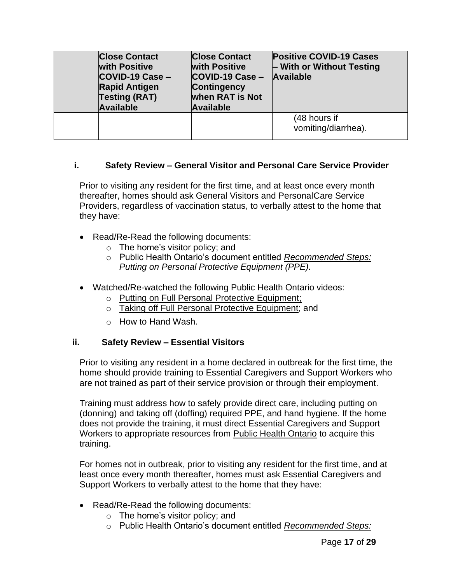| <b>Close Contact</b><br><b>with Positive</b><br>COVID-19 Case -<br><b>Rapid Antigen</b><br><b>Testing (RAT)</b><br><b>Available</b> | <b>Close Contact</b><br><b>with Positive</b><br>$COVID-19 Case -$<br><b>Contingency</b><br><b>when RAT is Not</b><br><b>Available</b> | <b>Positive COVID-19 Cases</b><br>$\vdash$ With or Without Testing<br><b>Available</b> |
|-------------------------------------------------------------------------------------------------------------------------------------|---------------------------------------------------------------------------------------------------------------------------------------|----------------------------------------------------------------------------------------|
|                                                                                                                                     |                                                                                                                                       | (48 hours if<br>vomiting/diarrhea).                                                    |

### **i. Safety Review – General Visitor and Personal Care Service Provider**

Prior to visiting any resident for the first time, and at least once every month thereafter, homes should ask General Visitors and PersonalCare Service Providers, regardless of vaccination status, to verbally attest to the home that they have:

- Read/Re-Read the following documents:
	- $\circ$  The home's visitor policy; and
	- o Public Health Ontario's document entitled *[Recommended Steps:](https://www.publichealthontario.ca/-/media/documents/ncov/ipac/ppe-recommended-steps.pdf?la=en) Putting [on Personal](https://www.publichealthontario.ca/-/media/documents/ncov/ipac/ppe-recommended-steps.pdf?la=en) Protective Equipment (PPE).*
- Watched/Re-watched the following Public Health Ontario videos:
	- o Putting on Full Personal Protective [Equipment;](https://www.publichealthontario.ca/en/videos/ipac-fullppe-on)
	- o Taking off Full Personal Protective [Equipment;](https://www.publichealthontario.ca/en/videos/ipac-maskeyes-off) and
	- o How [to Hand](https://www.publichealthontario.ca/en/health-topics/infection-prevention-control/hand-hygiene/jcyh-videos) Wash.

### **ii. Safety Review – Essential Visitors**

Prior to visiting any resident in a home declared in outbreak for the first time, the home should provide training to Essential Caregivers and Support Workers who are not trained as part of their service provision or through their employment.

Training must address how to safely provide direct care, including putting on (donning) and taking off (doffing) required PPE, and hand hygiene. If the home does not provide the training, it must direct Essential Caregivers and Support Workers to appropriate resources from [Public Health Ontario](https://www.publichealthontario.ca/en/education-and-events/online-learning/ipac-fundamentals) to acquire this training.

For homes not in outbreak, prior to visiting any resident for the first time, and at least once every month thereafter, homes must ask Essential Caregivers and Support Workers to verbally attest to the home that they have:

- Read/Re-Read the following documents:
	- o The home's visitor policy; and
	- o Public Health Ontario's document entitled *[Recommended Steps:](https://www.publichealthontario.ca/-/media/documents/ncov/ipac/ppe-recommended-steps.pdf?la=en)*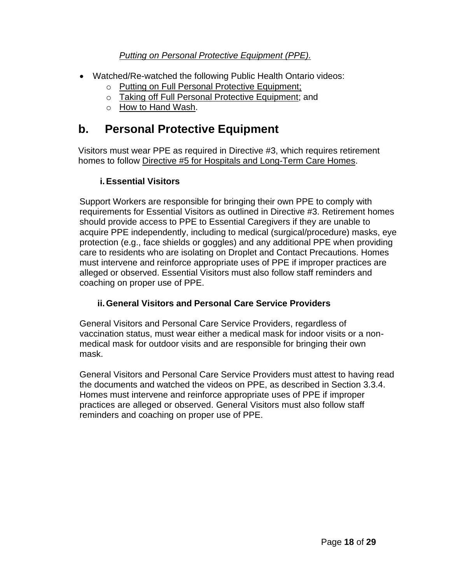### *Putting [on Personal](https://www.publichealthontario.ca/-/media/documents/ncov/ipac/ppe-recommended-steps.pdf?la=en) Protective Equipment (PPE).*

- Watched/Re-watched the following Public Health Ontario videos:
	- o Putting on Full Personal Protective [Equipment;](https://www.publichealthontario.ca/en/videos/ipac-fullppe-on)
	- o Taking off Full Personal Protective [Equipment;](https://www.publichealthontario.ca/en/videos/ipac-maskeyes-off) and
	- o How [to Hand](https://www.publichealthontario.ca/en/health-topics/infection-prevention-control/hand-hygiene/jcyh-videos) Wash.

## **b. Personal Protective Equipment**

Visitors must wear PPE as required in Directive #3, which requires retirement homes to follow Directive #5 for Hospitals and [Long-Term Care Homes.](https://www.health.gov.on.ca/en/pro/programs/publichealth/coronavirus/docs/directives/public_hospitals_act.pdf)

### **i.Essential Visitors**

Support Workers are responsible for bringing their own PPE to comply with requirements for Essential Visitors as outlined in Directive #3. Retirement homes should provide access to PPE to Essential Caregivers if they are unable to acquire PPE independently, including to medical (surgical/procedure) masks, eye protection (e.g., face shields or goggles) and any additional PPE when providing care to residents who are isolating on Droplet and Contact Precautions. Homes must intervene and reinforce appropriate uses of PPE if improper practices are alleged or observed. Essential Visitors must also follow staff reminders and coaching on proper use of PPE.

### **ii.General Visitors and Personal Care Service Providers**

General Visitors and Personal Care Service Providers, regardless of vaccination status, must wear either a medical mask for indoor visits or a nonmedical mask for outdoor visits and are responsible for bringing their own mask.

General Visitors and Personal Care Service Providers must attest to having read the documents and watched the videos on PPE, as described in Section 3.3.4. Homes must intervene and reinforce appropriate uses of PPE if improper practices are alleged or observed. General Visitors must also follow staff reminders and coaching on proper use of PPE.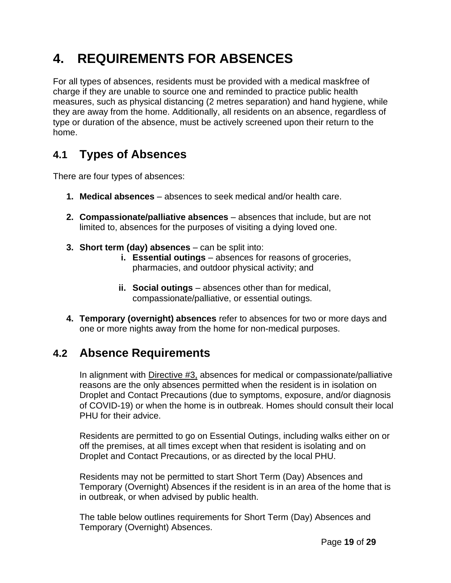# **4. REQUIREMENTS FOR ABSENCES**

For all types of absences, residents must be provided with a medical maskfree of charge if they are unable to source one and reminded to practice public health measures, such as physical distancing (2 metres separation) and hand hygiene, while they are away from the home. Additionally, all residents on an absence, regardless of type or duration of the absence, must be actively screened upon their return to the home.

## **4.1 Types of Absences**

There are four types of absences:

- **1. Medical absences**  absences to seek medical and/or health care.
- **2. Compassionate/palliative absences**  absences that include, but are not limited to, absences for the purposes of visiting a dying loved one.
- **3. Short term (day) absences**  can be split into:
	- **i. Essential outings** absences for reasons of groceries, pharmacies, and outdoor physical activity; and
	- **ii.** Social outings absences other than for medical, compassionate/palliative, or essential outings.
- **4. Temporary (overnight) absences** refer to absences for two or more days and one or more nights away from the home for non-medical purposes.

## **4.2 Absence Requirements**

In alignment with [Directive #3,](https://www.health.gov.on.ca/en/pro/programs/publichealth/coronavirus/docs/directives/LTCH_HPPA.pdf) absences for medical or compassionate/palliative reasons are the only absences permitted when the resident is in isolation on Droplet and Contact Precautions (due to symptoms, exposure, and/or diagnosis of COVID-19) or when the home is in outbreak. Homes should consult their local PHU for their advice.

Residents are permitted to go on Essential Outings, including walks either on or off the premises, at all times except when that resident is isolating and on Droplet and Contact Precautions, or as directed by the local PHU.

Residents may not be permitted to start Short Term (Day) Absences and Temporary (Overnight) Absences if the resident is in an area of the home that is in outbreak, or when advised by public health.

The table below outlines requirements for Short Term (Day) Absences and Temporary (Overnight) Absences.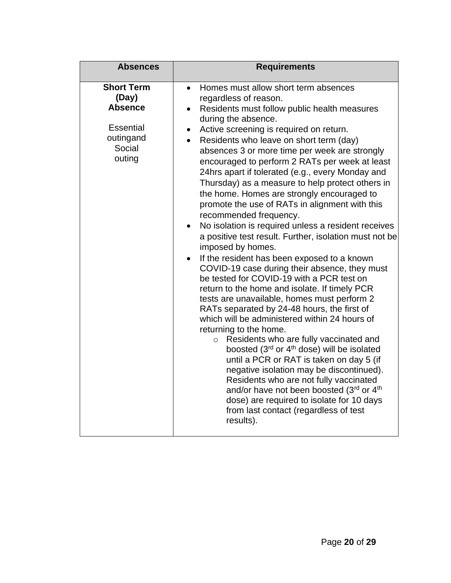| <b>Absences</b>                                                                                   | <b>Requirements</b>                                                                                                                                                                                                                                                                                                                                                                                                                                                                                                                                                                                                                                                                                                                                                                                                                                                                                                                                                                                                                                                                                                                                                                                                                                                                                                                                                                                                                                                                                                 |  |  |
|---------------------------------------------------------------------------------------------------|---------------------------------------------------------------------------------------------------------------------------------------------------------------------------------------------------------------------------------------------------------------------------------------------------------------------------------------------------------------------------------------------------------------------------------------------------------------------------------------------------------------------------------------------------------------------------------------------------------------------------------------------------------------------------------------------------------------------------------------------------------------------------------------------------------------------------------------------------------------------------------------------------------------------------------------------------------------------------------------------------------------------------------------------------------------------------------------------------------------------------------------------------------------------------------------------------------------------------------------------------------------------------------------------------------------------------------------------------------------------------------------------------------------------------------------------------------------------------------------------------------------------|--|--|
| <b>Short Term</b><br>(Day)<br><b>Absence</b><br><b>Essential</b><br>outingand<br>Social<br>outing | Homes must allow short term absences<br>$\bullet$<br>regardless of reason.<br>Residents must follow public health measures<br>during the absence.<br>Active screening is required on return.<br>$\bullet$<br>Residents who leave on short term (day)<br>absences 3 or more time per week are strongly<br>encouraged to perform 2 RATs per week at least<br>24hrs apart if tolerated (e.g., every Monday and<br>Thursday) as a measure to help protect others in<br>the home. Homes are strongly encouraged to<br>promote the use of RATs in alignment with this<br>recommended frequency.<br>No isolation is required unless a resident receives<br>$\bullet$<br>a positive test result. Further, isolation must not be<br>imposed by homes.<br>If the resident has been exposed to a known<br>COVID-19 case during their absence, they must<br>be tested for COVID-19 with a PCR test on<br>return to the home and isolate. If timely PCR<br>tests are unavailable, homes must perform 2<br>RATs separated by 24-48 hours, the first of<br>which will be administered within 24 hours of<br>returning to the home.<br>Residents who are fully vaccinated and<br>$\circ$<br>boosted (3rd or 4 <sup>th</sup> dose) will be isolated<br>until a PCR or RAT is taken on day 5 (if<br>negative isolation may be discontinued).<br>Residents who are not fully vaccinated<br>and/or have not been boosted (3rd or 4th<br>dose) are required to isolate for 10 days<br>from last contact (regardless of test<br>results). |  |  |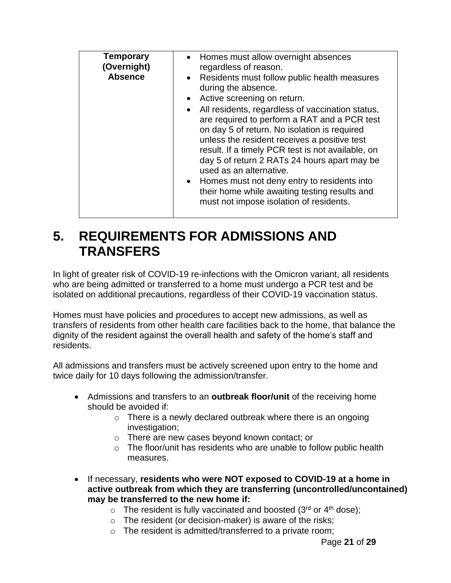| <b>Temporary</b><br>(Overnight)<br><b>Absence</b> | • Homes must allow overnight absences<br>regardless of reason.<br>Residents must follow public health measures<br>$\bullet$<br>during the absence.<br>Active screening on return.<br>All residents, regardless of vaccination status,<br>$\bullet$<br>are required to perform a RAT and a PCR test<br>on day 5 of return. No isolation is required<br>unless the resident receives a positive test<br>result. If a timely PCR test is not available, on<br>day 5 of return 2 RATs 24 hours apart may be<br>used as an alternative.<br>Homes must not deny entry to residents into<br>$\bullet$<br>their home while awaiting testing results and<br>must not impose isolation of residents. |
|---------------------------------------------------|--------------------------------------------------------------------------------------------------------------------------------------------------------------------------------------------------------------------------------------------------------------------------------------------------------------------------------------------------------------------------------------------------------------------------------------------------------------------------------------------------------------------------------------------------------------------------------------------------------------------------------------------------------------------------------------------|

# **5. REQUIREMENTS FOR ADMISSIONS AND TRANSFERS**

In light of greater risk of COVID-19 re-infections with the Omicron variant, all residents who are being admitted or transferred to a home must undergo a PCR test and be isolated on additional precautions, regardless of their COVID-19 vaccination status.

Homes must have policies and procedures to accept new admissions, as well as transfers of residents from other health care facilities back to the home, that balance the dignity of the resident against the overall health and safety of the home's staff and residents.

All admissions and transfers must be actively screened upon entry to the home and twice daily for 10 days following the admission/transfer.

- Admissions and transfers to an **outbreak floor/unit** of the receiving home should be avoided if:
	- $\circ$  There is a newly declared outbreak where there is an ongoing investigation;
	- o There are new cases beyond known contact; or
	- $\circ$  The floor/unit has residents who are unable to follow public health measures.
- If necessary, **residents who were NOT exposed to COVID-19 at a home in active outbreak from which they are transferring (uncontrolled/uncontained) may be transferred to the new home if:**
	- $\circ$  The resident is fully vaccinated and boosted (3<sup>rd</sup> or 4<sup>th</sup> dose);
	- $\circ$  The resident (or decision-maker) is aware of the risks;
	- o The resident is admitted/transferred to a private room;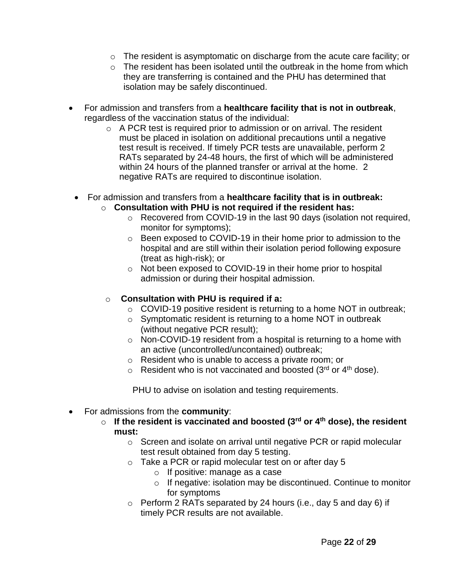- o The resident is asymptomatic on discharge from the acute care facility; or
- o The resident has been isolated until the outbreak in the home from which they are transferring is contained and the PHU has determined that isolation may be safely discontinued.
- For admission and transfers from a **healthcare facility that is not in outbreak**, regardless of the vaccination status of the individual:
	- o A PCR test is required prior to admission or on arrival. The resident must be placed in isolation on additional precautions until a negative test result is received. If timely PCR tests are unavailable, perform 2 RATs separated by 24-48 hours, the first of which will be administered within 24 hours of the planned transfer or arrival at the home. 2 negative RATs are required to discontinue isolation.
- For admission and transfers from a **healthcare facility that is in outbreak:**
	- o **Consultation with PHU is not required if the resident has:**
		- o Recovered from COVID-19 in the last 90 days (isolation not required, monitor for symptoms);
		- o Been exposed to COVID-19 in their home prior to admission to the hospital and are still within their isolation period following exposure (treat as high-risk); or
		- o Not been exposed to COVID-19 in their home prior to hospital admission or during their hospital admission.
	- o **Consultation with PHU is required if a:**
		- $\circ$  COVID-19 positive resident is returning to a home NOT in outbreak;
		- $\circ$  Symptomatic resident is returning to a home NOT in outbreak (without negative PCR result);
		- o Non-COVID-19 resident from a hospital is returning to a home with an active (uncontrolled/uncontained) outbreak;
		- o Resident who is unable to access a private room; or
		- $\circ$  Resident who is not vaccinated and boosted (3rd or 4<sup>th</sup> dose).

PHU to advise on isolation and testing requirements.

- For admissions from the **community**:
	- o **If the resident is vaccinated and boosted (3rd or 4th dose), the resident must:**
		- o Screen and isolate on arrival until negative PCR or rapid molecular test result obtained from day 5 testing.
		- o Take a PCR or rapid molecular test on or after day 5
			- o If positive: manage as a case
			- o If negative: isolation may be discontinued. Continue to monitor for symptoms
		- $\circ$  Perform 2 RATs separated by 24 hours (i.e., day 5 and day 6) if timely PCR results are not available.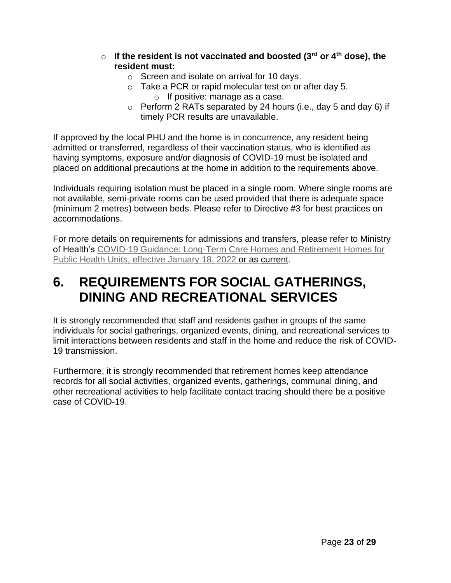- o **If the resident is not vaccinated and boosted (3rd or 4th dose), the resident must:**
	- o Screen and isolate on arrival for 10 days.
	- o Take a PCR or rapid molecular test on or after day 5. o If positive: manage as a case.
	- o Perform 2 RATs separated by 24 hours (i.e., day 5 and day 6) if timely PCR results are unavailable.

If approved by the local PHU and the home is in concurrence, any resident being admitted or transferred, regardless of their vaccination status, who is identified as having symptoms, exposure and/or diagnosis of COVID-19 must be isolated and placed on additional precautions at the home in addition to the requirements above.

Individuals requiring isolation must be placed in a single room. Where single rooms are not available, semi-private rooms can be used provided that there is adequate space (minimum 2 metres) between beds. Please refer to Directive #3 for best practices on accommodations.

For more details on requirements for admissions and transfers, please refer to Ministry of Health's [COVID-19 Guidance: Long-Term Care Homes and Retirement Homes for](https://www.health.gov.on.ca/en/pro/programs/publichealth/coronavirus/docs/2019_LTC_homes_retirement_homes_for_PHUs_guidance.pdf) Public [Health Units,](https://www.health.gov.on.ca/en/pro/programs/publichealth/coronavirus/docs/2019_LTC_homes_retirement_homes_for_PHUs_guidance.pdf) effective January 18, 2022 or as [current.](https://www.health.gov.on.ca/en/pro/programs/publichealth/coronavirus/docs/2019_LTC_homes_retirement_homes_for_PHUs_guidance.pdf)

## **6. REQUIREMENTS FOR SOCIAL GATHERINGS, DINING AND RECREATIONAL SERVICES**

It is strongly recommended that staff and residents gather in groups of the same individuals for social gatherings, organized events, dining, and recreational services to limit interactions between residents and staff in the home and reduce the risk of COVID-19 transmission.

Furthermore, it is strongly recommended that retirement homes keep attendance records for all social activities, organized events, gatherings, communal dining, and other recreational activities to help facilitate contact tracing should there be a positive case of COVID-19.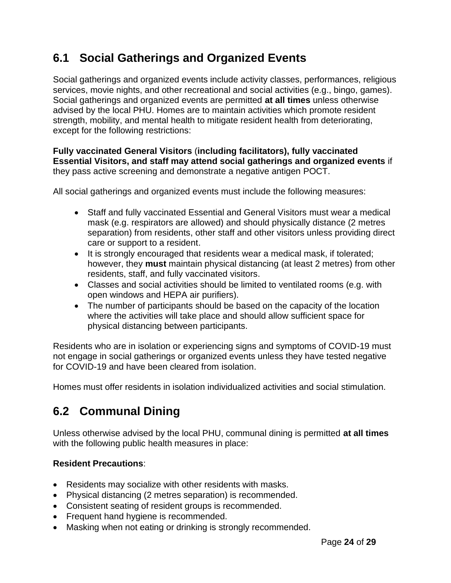## **6.1 Social Gatherings and Organized Events**

Social gatherings and organized events include activity classes, performances, religious services, movie nights, and other recreational and social activities (e.g., bingo, games). Social gatherings and organized events are permitted **at all times** unless otherwise advised by the local PHU. Homes are to maintain activities which promote resident strength, mobility, and mental health to mitigate resident health from deteriorating, except for the following restrictions:

**Fully vaccinated General Visitors** (**including facilitators), fully vaccinated Essential Visitors, and staff may attend social gatherings and organized events** if they pass active screening and demonstrate a negative antigen POCT.

All social gatherings and organized events must include the following measures:

- Staff and fully vaccinated Essential and General Visitors must wear a medical mask (e.g. respirators are allowed) and should physically distance (2 metres separation) from residents, other staff and other visitors unless providing direct care or support to a resident.
- It is strongly encouraged that residents wear a medical mask, if tolerated; however, they **must** maintain physical distancing (at least 2 metres) from other residents, staff, and fully vaccinated visitors.
- Classes and social activities should be limited to ventilated rooms (e.g. with open windows and HEPA air purifiers).
- The number of participants should be based on the capacity of the location where the activities will take place and should allow sufficient space for physical distancing between participants.

Residents who are in isolation or experiencing signs and symptoms of COVID-19 must not engage in social gatherings or organized events unless they have tested negative for COVID-19 and have been cleared from isolation.

Homes must offer residents in isolation individualized activities and social stimulation.

## **6.2 Communal Dining**

Unless otherwise advised by the local PHU, communal dining is permitted **at all times** with the following public health measures in place:

### **Resident Precautions**:

- Residents may socialize with other residents with masks.
- Physical distancing (2 metres separation) is recommended.
- Consistent seating of resident groups is recommended.
- Frequent hand hygiene is recommended.
- Masking when not eating or drinking is strongly recommended.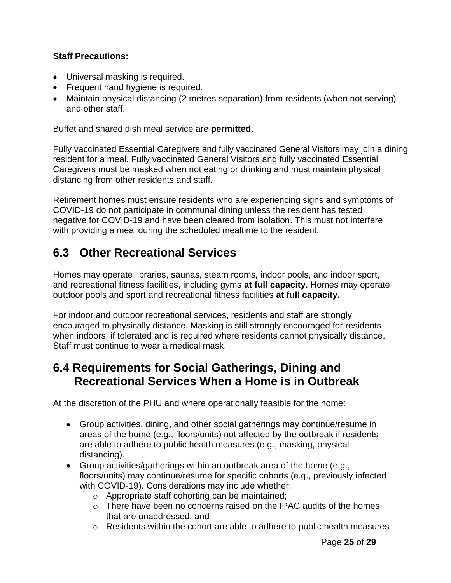### **Staff Precautions:**

- Universal masking is required.
- Frequent hand hygiene is required.
- Maintain physical distancing (2 metres separation) from residents (when not serving) and other staff.

Buffet and shared dish meal service are **permitted**.

Fully vaccinated Essential Caregivers and fully vaccinated General Visitors may join a dining resident for a meal. Fully vaccinated General Visitors and fully vaccinated Essential Caregivers must be masked when not eating or drinking and must maintain physical distancing from other residents and staff.

Retirement homes must ensure residents who are experiencing signs and symptoms of COVID-19 do not participate in communal dining unless the resident has tested negative for COVID-19 and have been cleared from isolation. This must not interfere with providing a meal during the scheduled mealtime to the resident.

## **6.3 Other Recreational Services**

Homes may operate libraries, saunas, steam rooms, indoor pools, and indoor sport, and recreational fitness facilities, including gyms **at full capacity**. Homes may operate outdoor pools and sport and recreational fitness facilities **at full capacity.**

For indoor and outdoor recreational services, residents and staff are strongly encouraged to physically distance. Masking is still strongly encouraged for residents when indoors, if tolerated and is required where residents cannot physically distance. Staff must continue to wear a medical mask.

### **6.4 Requirements for Social Gatherings, Dining and Recreational Services When a Home is in Outbreak**

At the discretion of the PHU and where operationally feasible for the home:

- Group activities, dining, and other social gatherings may continue/resume in areas of the home (e.g., floors/units) not affected by the outbreak if residents are able to adhere to public health measures (e.g., masking, physical distancing).
- Group activities/gatherings within an outbreak area of the home (e.g., floors/units) may continue/resume for specific cohorts (e.g., previously infected with COVID-19). Considerations may include whether:
	- o Appropriate staff cohorting can be maintained;
	- $\circ$  There have been no concerns raised on the IPAC audits of the homes that are unaddressed; and
	- $\circ$  Residents within the cohort are able to adhere to public health measures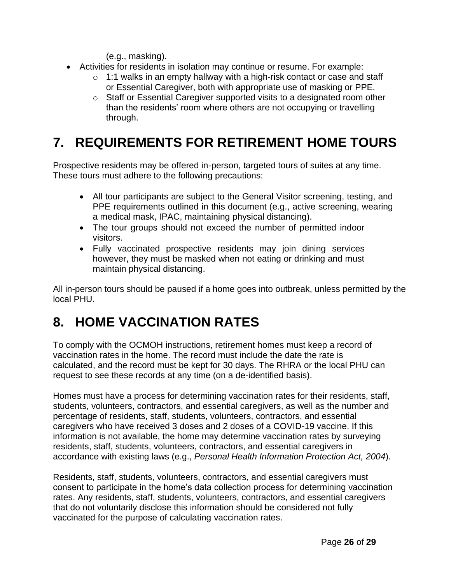(e.g., masking).

- Activities for residents in isolation may continue or resume. For example:
	- o 1:1 walks in an empty hallway with a high-risk contact or case and staff or Essential Caregiver, both with appropriate use of masking or PPE.
	- o Staff or Essential Caregiver supported visits to a designated room other than the residents' room where others are not occupying or travelling through.

# **7. REQUIREMENTS FOR RETIREMENT HOME TOURS**

Prospective residents may be offered in-person, targeted tours of suites at any time. These tours must adhere to the following precautions:

- All tour participants are subject to the General Visitor screening, testing, and PPE requirements outlined in this document (e.g., active screening, wearing a medical mask, IPAC, maintaining physical distancing).
- The tour groups should not exceed the number of permitted indoor visitors.
- Fully vaccinated prospective residents may join dining services however, they must be masked when not eating or drinking and must maintain physical distancing.

All in-person tours should be paused if a home goes into outbreak, unless permitted by the local PHU.

# **8. HOME VACCINATION RATES**

To comply with the OCMOH instructions, retirement homes must keep a record of vaccination rates in the home. The record must include the date the rate is calculated, and the record must be kept for 30 days. The RHRA or the local PHU can request to see these records at any time (on a de-identified basis).

Homes must have a process for determining vaccination rates for their residents, staff, students, volunteers, contractors, and essential caregivers, as well as the number and percentage of residents, staff, students, volunteers, contractors, and essential caregivers who have received 3 doses and 2 doses of a COVID-19 vaccine. If this information is not available, the home may determine vaccination rates by surveying residents, staff, students, volunteers, contractors, and essential caregivers in accordance with existing laws (e.g., *Personal Health Information Protection Act, 2004*).

Residents, staff, students, volunteers, contractors, and essential caregivers must consent to participate in the home's data collection process for determining vaccination rates. Any residents, staff, students, volunteers, contractors, and essential caregivers that do not voluntarily disclose this information should be considered not fully vaccinated for the purpose of calculating vaccination rates.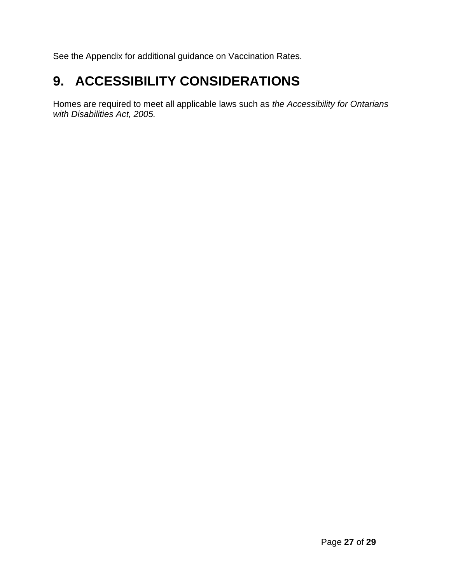See the Appendix for additional guidance on Vaccination Rates.

# **9. ACCESSIBILITY CONSIDERATIONS**

Homes are required to meet all applicable laws such as *the Accessibility for Ontarians with Disabilities Act, 2005.*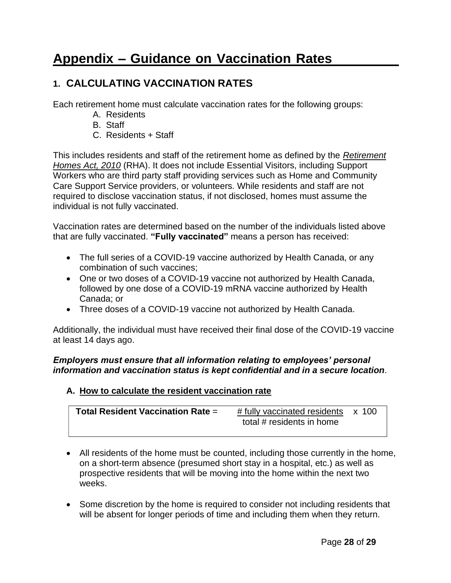# **Appendix – Guidance on Vaccination Rates**

### **1. CALCULATING VACCINATION RATES**

Each retirement home must calculate vaccination rates for the following groups:

- A. Residents
- B. Staff
- C. Residents + Staff

This includes residents and staff of the retirement home as defined by the *[Retirement](https://www.ontario.ca/laws/statute/10r11) [Homes Act, 2010](https://www.ontario.ca/laws/statute/10r11)* (RHA). It does not include Essential Visitors, including Support Workers who are third party staff providing services such as Home and Community Care Support Service providers, or volunteers. While residents and staff are not required to disclose vaccination status, if not disclosed, homes must assume the individual is not fully vaccinated.

Vaccination rates are determined based on the number of the individuals listed above that are fully vaccinated. **"Fully vaccinated"** means a person has received:

- The full series of a COVID-19 vaccine authorized by Health Canada, or any combination of such vaccines;
- One or two doses of a COVID-19 vaccine not authorized by Health Canada, followed by one dose of a COVID-19 mRNA vaccine authorized by Health Canada; or
- Three doses of a COVID-19 vaccine not authorized by Health Canada.

Additionally, the individual must have received their final dose of the COVID-19 vaccine at least 14 days ago.

#### *Employers must ensure that all information relating to employees' personal information and vaccination status is kept confidential and in a secure location*.

### **A. How to calculate the resident vaccination rate**

| <b>Total Resident Vaccination Rate =</b> | # fully vaccinated residents x 100 |  |
|------------------------------------------|------------------------------------|--|
|                                          | total # residents in home          |  |

- All residents of the home must be counted, including those currently in the home, on a short-term absence (presumed short stay in a hospital, etc.) as well as prospective residents that will be moving into the home within the next two weeks.
- Some discretion by the home is required to consider not including residents that will be absent for longer periods of time and including them when they return.